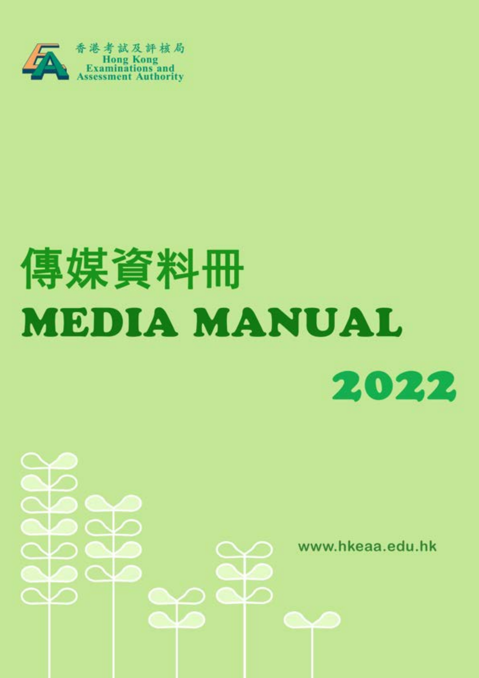

# 傳媒資料冊 **MEDIA MANUAL** 2022

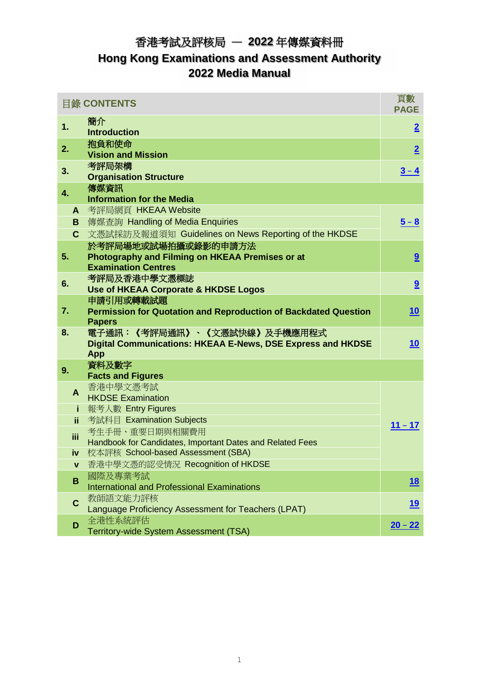# 香港考試及評核局 — **2022** 年傳媒資料冊 **Hong Kong Examinations and Assessment Authority 2022 Media Manual**

|                  | <b>目錄 CONTENTS</b>                                                     | 頁數<br><b>PAGE</b> |
|------------------|------------------------------------------------------------------------|-------------------|
| 1.               | 簡介                                                                     |                   |
|                  | <b>Introduction</b>                                                    | $\overline{2}$    |
| 2.               | 抱負和使命                                                                  |                   |
|                  | <b>Vision and Mission</b>                                              | $\overline{2}$    |
| 3.               | 考評局架構                                                                  | $3 - 4$           |
|                  | <b>Organisation Structure</b>                                          |                   |
| $\overline{4}$ . | 傳媒資訊                                                                   |                   |
|                  | <b>Information for the Media</b>                                       |                   |
| A                | 考評局網頁 HKEAA Website                                                    |                   |
| B.               | 傳媒查詢 Handling of Media Enquiries                                       | $5 - 8$           |
| C.               | 文憑試採訪及報道須知 Guidelines on News Reporting of the HKDSE                   |                   |
|                  | 於考評局場地或試場拍攝或錄影的申請方法                                                    |                   |
| 5.               | Photography and Filming on HKEAA Premises or at                        | 9                 |
|                  | <b>Examination Centres</b>                                             |                   |
| 6.               | 考評局及香港中學文憑標誌                                                           | 9                 |
|                  | <b>Use of HKEAA Corporate &amp; HKDSE Logos</b>                        |                   |
|                  | 申請引用或轉載試題                                                              |                   |
| 7.               | <b>Permission for Quotation and Reproduction of Backdated Question</b> | <u>10</u>         |
|                  | <b>Papers</b>                                                          |                   |
| 8.               | 電子通訊:《考評局通訊》、《文憑試快線》及手機應用程式                                            |                   |
|                  | Digital Communications: HKEAA E-News, DSE Express and HKDSE            | <u>10</u>         |
|                  | <b>App</b><br>資料及數字                                                    |                   |
| 9.               | <b>Facts and Figures</b>                                               |                   |
|                  | 香港中學文憑考試                                                               |                   |
| $\mathbf{A}$     | <b>HKDSE Examination</b>                                               |                   |
| j.               | 報考人數 Entry Figures                                                     |                   |
| ii.              | 考試科目 Examination Subjects                                              |                   |
|                  | 考生手冊、重要日期與相關費用                                                         | $11 - 17$         |
| iii              | Handbook for Candidates, Important Dates and Related Fees              |                   |
| iv -             | 校本評核 School-based Assessment (SBA)                                     |                   |
| $\mathbf{v}$     | 香港中學文憑的認受情況 Recognition of HKDSE                                       |                   |
|                  | 國際及專業考試                                                                |                   |
| B                | <b>International and Professional Examinations</b>                     | <u>18</u>         |
|                  | 教師語文能力評核                                                               |                   |
| C                | Language Proficiency Assessment for Teachers (LPAT)                    | <u> 19</u>        |
|                  | 全港性系統評估                                                                |                   |
| D                | Territory-wide System Assessment (TSA)                                 | $20 - 22$         |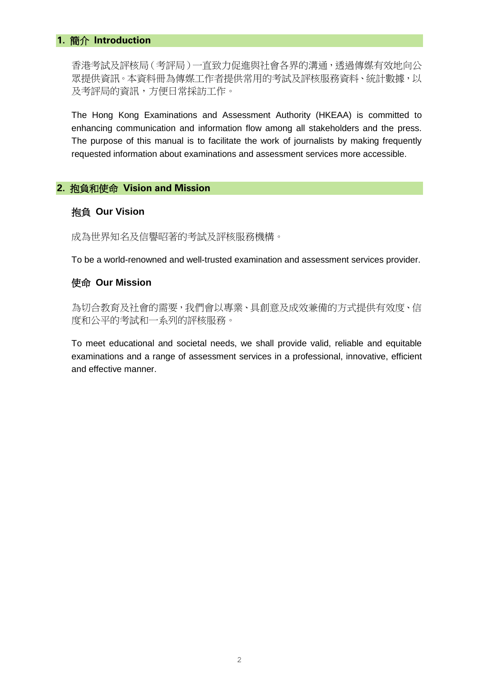#### <span id="page-2-0"></span>**1.** 簡介 **Introduction**

香港考試及評核局(考評局)一直致力促進與社會各界的溝通,透過傳媒有效地向公 眾提供資訊。本資料冊為傳媒工作者提供常用的考試及評核服務資料、統計數據,以 及考評局的資訊,方便日常採訪工作。

The Hong Kong Examinations and Assessment Authority (HKEAA) is committed to enhancing communication and information flow among all stakeholders and the press. The purpose of this manual is to facilitate the work of journalists by making frequently requested information about examinations and assessment services more accessible.

#### <span id="page-2-1"></span>**2.** 抱負和使命 **Vision and Mission**

#### 抱負 **Our Vision**

成為世界知名及信譽昭著的考試及評核服務機構。

To be a world-renowned and well-trusted examination and assessment services provider.

#### 使命 **Our Mission**

為切合教育及社會的需要,我們會以專業、具創意及成效兼備的方式提供有效度、信 度和公平的考試和一系列的評核服務。

To meet educational and societal needs, we shall provide valid, reliable and equitable examinations and a range of assessment services in a professional, innovative, efficient and effective manner.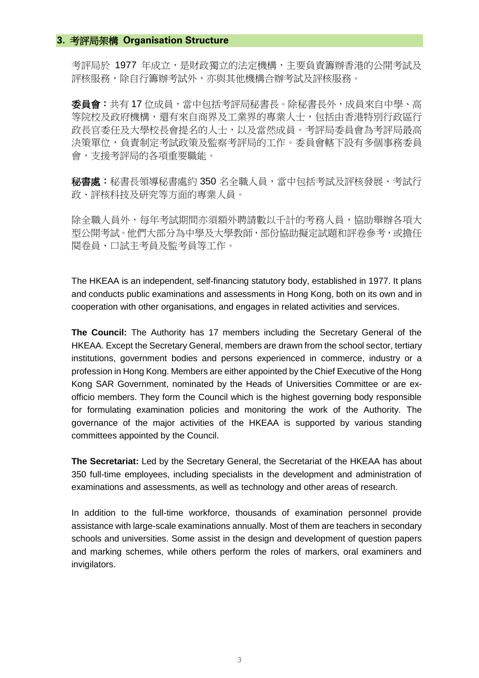#### <span id="page-3-0"></span>**3.** 考評局架構 **Organisation Structure**

考評局於 1977 年成立,是財政獨立的法定機構,主要負責籌辦香港的公開考試及 評核服務,除自行籌辦考試外,亦與其他機構合辦考試及評核服務。

委員會: 共有 17 位成員,當中包括考評局秘書長。除秘書長外,成員來自中學、高 等院校及政府機構,還有來自商界及工業界的專業人士,包括由香港特別行政區行 政長官委任及大學校長會提名的人士,以及當然成員。考評局委員會為考評局最高 決策單位,負責制定考試政策及監察考評局的工作。委員會轄下設有多個事務委員 會,支援考評局的各項重要職能。

秘書處:秘書長領導秘書處約 350 名全職人員,當中包括考試及評核發展、考試行 政、評核科技及研究等方面的專業人員。

除全職人員外,每年考試期間亦須額外聘請數以千計的考務人員,協助舉辦各項大 型公開考試。他們大部分為中學及大學教師,部份協助擬定試題和評卷參考,或擔任 閱卷員、口試主考員及監考員等工作。

The HKEAA is an independent, self-financing statutory body, established in 1977. It plans and conducts public examinations and assessments in Hong Kong, both on its own and in cooperation with other organisations, and engages in related activities and services.

**The Council:** The Authority has 17 members including the Secretary General of the HKEAA. Except the Secretary General, members are drawn from the school sector, tertiary institutions, government bodies and persons experienced in commerce, industry or a profession in Hong Kong. Members are either appointed by the Chief Executive of the Hong Kong SAR Government, nominated by the Heads of Universities Committee or are exofficio members. They form the Council which is the highest governing body responsible for formulating examination policies and monitoring the work of the Authority. The governance of the major activities of the HKEAA is supported by various standing committees appointed by the Council.

**The Secretariat:** Led by the Secretary General, the Secretariat of the HKEAA has about 350 full-time employees, including specialists in the development and administration of examinations and assessments, as well as technology and other areas of research.

In addition to the full-time workforce, thousands of examination personnel provide assistance with large-scale examinations annually. Most of them are teachers in secondary schools and universities. Some assist in the design and development of question papers and marking schemes, while others perform the roles of markers, oral examiners and invigilators.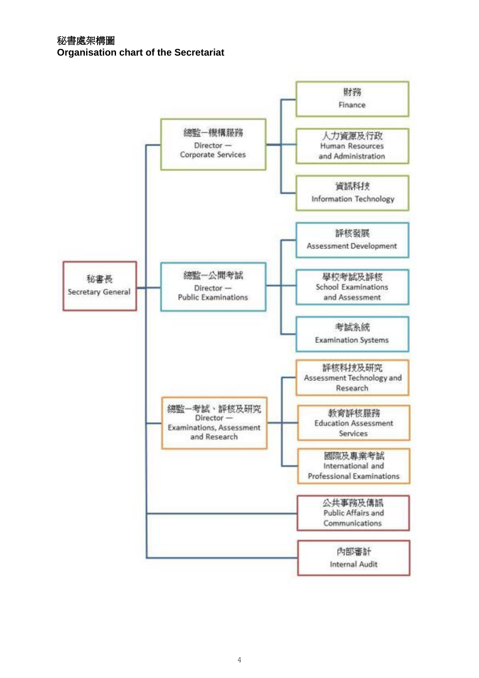**Organisation chart of the Secretariat**

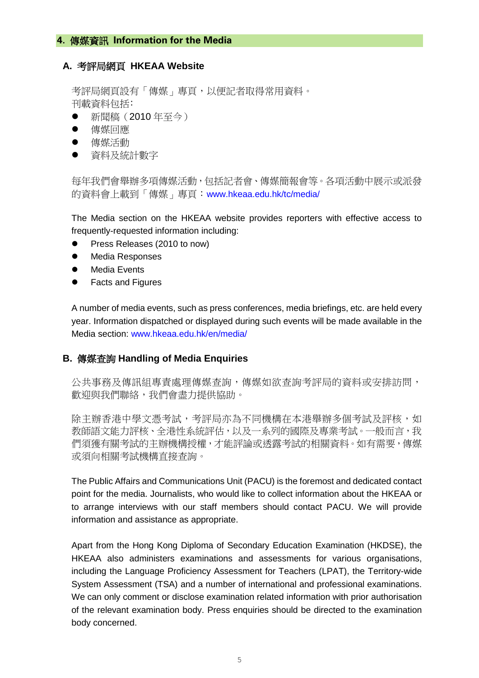#### <span id="page-5-0"></span>**4.** 傳媒資訊 **Information for the Media**

#### **A.** 考評局網頁 **HKEAA Website**

考評局網頁設有「傳媒」專頁,以便記者取得常用資料。 刊載資料包括﹕

- 新聞稿 (2010年至今)
- 傳媒回應
- 傳媒活動
- ⚫ 資料及統計數字

每年我們會舉辦多項傳媒活動,包括記者會、傳媒簡報會等。各項活動中展示或派發 的資料會上載到「傳媒」專頁:[www.hkeaa.edu.hk/tc/media/](http://www.hkeaa.edu.hk/tc/media/)

The Media section on the HKEAA website provides reporters with effective access to frequently-requested information including:

- ⚫ Press Releases (2010 to now)
- ⚫ Media Responses
- Media Events
- ⚫ Facts and Figures

A number of media events, such as press conferences, media briefings, etc. are held every year. Information dispatched or displayed during such events will be made available in the Media section: [www.hkeaa.edu.hk/en/media/](http://www.hkeaa.edu.hk/en/media/)

#### **B.** 傳媒查詢 **Handling of Media Enquiries**

公共事務及傳訊組專責處理傳媒查詢,傳媒如欲查詢考評局的資料或安排訪問, 歡迎與我們聯絡,我們會盡力提供協助。

除主辦香港中學文憑考試,考評局亦為不同機構在本港舉辦多個考試及評核,如 教師語文能力評核、全港性系統評估,以及一系列的國際及專業考試。一般而言,我 們須獲有關考試的主辦機構授權,才能評論或透露考試的相關資料。如有需要,傳媒 或須向相關考試機構直接查詢。

The Public Affairs and Communications Unit (PACU) is the foremost and dedicated contact point for the media. Journalists, who would like to collect information about the HKEAA or to arrange interviews with our staff members should contact PACU. We will provide information and assistance as appropriate.

Apart from the Hong Kong Diploma of Secondary Education Examination (HKDSE), the HKEAA also administers examinations and assessments for various organisations, including the Language Proficiency Assessment for Teachers (LPAT), the Territory-wide System Assessment (TSA) and a number of international and professional examinations. We can only comment or disclose examination related information with prior authorisation of the relevant examination body. Press enquiries should be directed to the examination body concerned.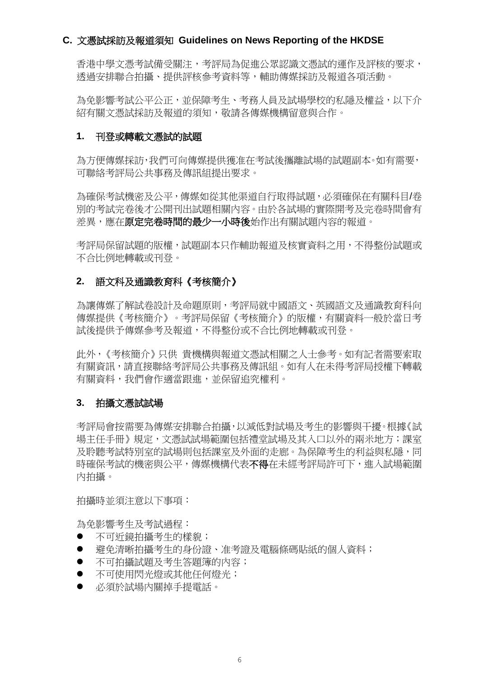#### **C.** 文憑試採訪及報道須知 **Guidelines on News Reporting of the HKDSE**

香港中學文憑考試備受關注,考評局為促進公眾認識文憑試的運作及評核的要求, 透過安排聯合拍攝、提供評核參考資料等,輔助傳媒採訪及報道各項活動。

為免影響考試公平公正,並保障考生、考務人員及試場學校的私隱及權益,以下介 紹有關文憑試採訪及報道的須知,敬請各傳媒機構留意與合作。

#### **1.** 刊登或轉載文憑試的試題

為方便傳媒採訪,我們可向傳媒提供獲准在考試後攜離試場的試題副本。如有需要, 可聯絡考評局公共事務及傳訊組提出要求。

為確保考試機密及公平,傳媒如從其他渠道自行取得試題,必須確保在有關科目/卷 別的考試完卷後才公開刊出試題相關內容。由於各試場的實際開考及完卷時間會有 差異,應在**原定完卷時間的最少一小時後**始作出有關試題內容的報道。

考評局保留試題的版權,試題副本只作輔助報道及核實資料之用,不得整份試題或 不合比例地轉載或刊登。

#### **2.** 語文科及通識教育科《考核簡介》

為讓傳媒了解試卷設計及命題原則,考評局就中國語文、英國語文及通識教育科向 傳媒提供《考核簡介》。考評局保留《考核簡介》的版權,有關資料一般於當日考 試後提供予傳媒參考及報道,不得整份或不合比例地轉載或刊登。

此外,《考核簡介》只供 貴機構與報道文憑試相關之人士參考。如有記者需要索取 有關資訊,請直接聯絡考評局公共事務及傳訊組。如有人在未得考評局授權下轉載 有關資料,我們會作適當跟進,並保留追究權利。

#### **3.** 拍攝文憑試試場

考評局會按需要為傳媒安排聯合拍攝,以減低對試場及考生的影響與干擾。根據《試 場主任手冊》規定,文憑試試場範圍包括禮堂試場及其入口以外的兩米地方;課室 及聆聽考試特別室的試場則包括課室及外面的走廊。為保障考生的利益與私隱,同 時確保考試的機密與公平,傳媒機構代表不得在未經考評局許可下,進入試場範圍 內拍攝。

拍攝時並須注意以下事項:

為免影響考生及考試過程:

- 不可折鏡拍攝考牛的樣貌;
- ⚫ 避免清晰拍攝考生的身份證、准考證及電腦條碼貼紙的個人資料;
- 不可拍攝試題及考生答題簿的內容;
- 不可使用閃光燈或其他任何燈光;
- ⚫ 必須於試場內關掉手提電話。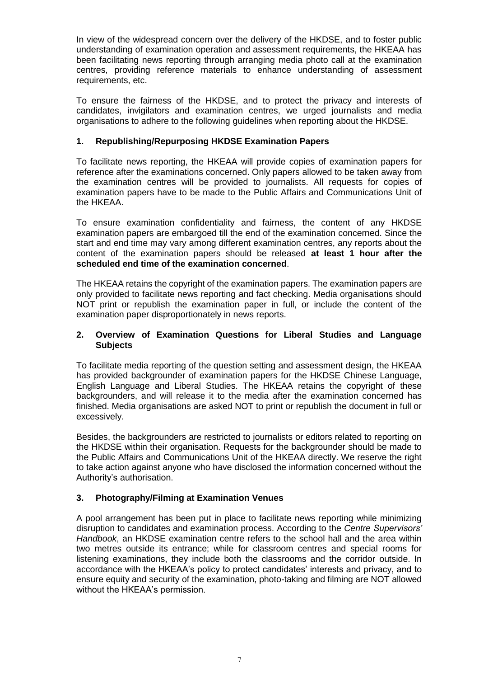In view of the widespread concern over the delivery of the HKDSE, and to foster public understanding of examination operation and assessment requirements, the HKEAA has been facilitating news reporting through arranging media photo call at the examination centres, providing reference materials to enhance understanding of assessment requirements, etc.

To ensure the fairness of the HKDSE, and to protect the privacy and interests of candidates, invigilators and examination centres, we urged journalists and media organisations to adhere to the following guidelines when reporting about the HKDSE.

#### **1. Republishing/Repurposing HKDSE Examination Papers**

To facilitate news reporting, the HKEAA will provide copies of examination papers for reference after the examinations concerned. Only papers allowed to be taken away from the examination centres will be provided to journalists. All requests for copies of examination papers have to be made to the Public Affairs and Communications Unit of the HKEAA.

To ensure examination confidentiality and fairness, the content of any HKDSE examination papers are embargoed till the end of the examination concerned. Since the start and end time may vary among different examination centres, any reports about the content of the examination papers should be released **at least 1 hour after the scheduled end time of the examination concerned**.

The HKEAA retains the copyright of the examination papers. The examination papers are only provided to facilitate news reporting and fact checking. Media organisations should NOT print or republish the examination paper in full, or include the content of the examination paper disproportionately in news reports.

#### **2. Overview of Examination Questions for Liberal Studies and Language Subjects**

To facilitate media reporting of the question setting and assessment design, the HKEAA has provided backgrounder of examination papers for the HKDSE Chinese Language, English Language and Liberal Studies. The HKEAA retains the copyright of these backgrounders, and will release it to the media after the examination concerned has finished. Media organisations are asked NOT to print or republish the document in full or excessively.

Besides, the backgrounders are restricted to journalists or editors related to reporting on the HKDSE within their organisation. Requests for the backgrounder should be made to the Public Affairs and Communications Unit of the HKEAA directly. We reserve the right to take action against anyone who have disclosed the information concerned without the Authority's authorisation.

#### **3. Photography/Filming at Examination Venues**

A pool arrangement has been put in place to facilitate news reporting while minimizing disruption to candidates and examination process. According to the *Centre Supervisors' Handbook*, an HKDSE examination centre refers to the school hall and the area within two metres outside its entrance; while for classroom centres and special rooms for listening examinations, they include both the classrooms and the corridor outside. In accordance with the HKEAA's policy to protect candidates' interests and privacy, and to ensure equity and security of the examination, photo-taking and filming are NOT allowed without the HKEAA's permission.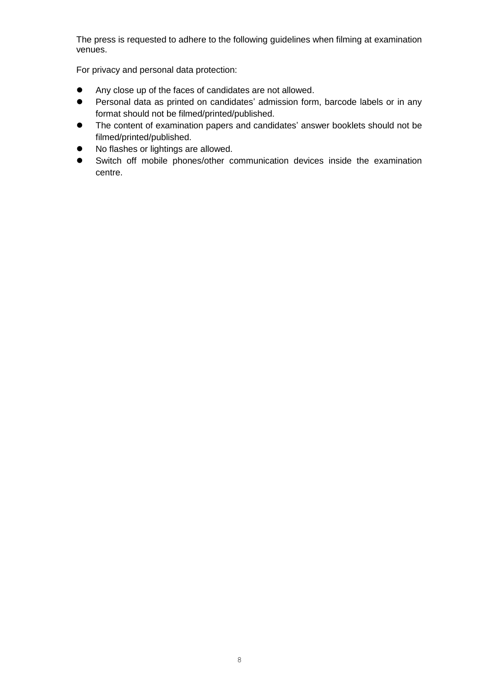The press is requested to adhere to the following guidelines when filming at examination venues.

For privacy and personal data protection:

- ⚫ Any close up of the faces of candidates are not allowed.
- ⚫ Personal data as printed on candidates' admission form, barcode labels or in any format should not be filmed/printed/published.
- The content of examination papers and candidates' answer booklets should not be filmed/printed/published.
- ⚫ No flashes or lightings are allowed.
- ⚫ Switch off mobile phones/other communication devices inside the examination centre.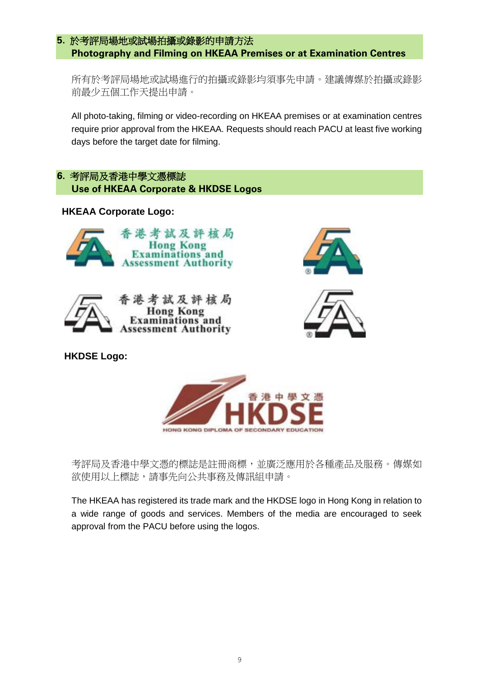#### <span id="page-9-0"></span>**5.** 於考評局場地或試場拍攝或錄影的申請方法 **Photography and Filming on HKEAA Premises or at Examination Centres**

所有於考評局場地或試場進行的拍攝或錄影均須事先申請。建議傳媒於拍攝或錄影 前最少五個工作天提出申請。

All photo-taking, filming or video-recording on HKEAA premises or at examination centres require prior approval from the HKEAA. Requests should reach PACU at least five working days before the target date for filming.

# <span id="page-9-1"></span>**6.** 考評局及香港中學文憑標誌  **Use of HKEAA Corporate & HKDSE Logos**

## **HKEAA Corporate Logo:**









**HKDSE Logo:** 



考評局及香港中學文憑的標誌是註冊商標,並廣泛應用於各種產品及服務。傳媒如 欲使用以上標誌,請事先向公共事務及傳訊組申請。

The HKEAA has registered its trade mark and the HKDSE logo in Hong Kong in relation to a wide range of goods and services. Members of the media are encouraged to seek approval from the PACU before using the logos.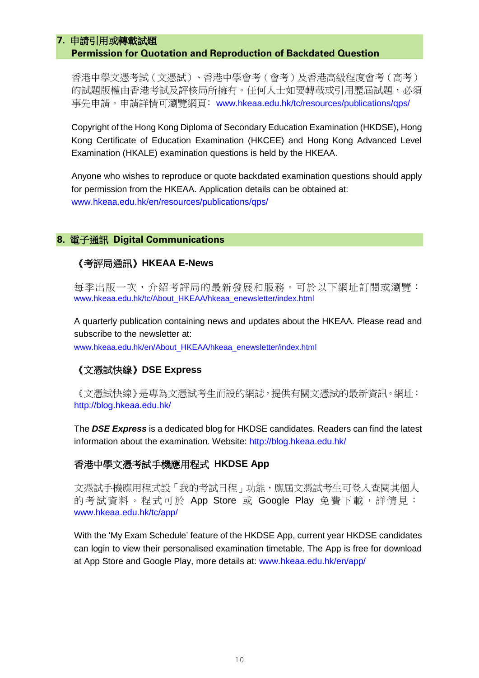#### <span id="page-10-0"></span>**7.** 申請引用或轉載試題

#### **Permission for Quotation and Reproduction of Backdated Question**

香港中學文憑考試(文憑試)、香港中學會考(會考)及香港高級程度會考(高考) 的試題版權由香港考試及評核局所擁有。任何人士如要轉載或引用歷屆試題,必須 事先申請。申請詳情可瀏覽網頁﹕[www.hkeaa.edu.hk/tc/resources/publications/qps/](https://www.hkeaa.edu.hk/tc/resources/publications/qps/)

Copyright of the Hong Kong Diploma of Secondary Education Examination (HKDSE), Hong Kong Certificate of Education Examination (HKCEE) and Hong Kong Advanced Level Examination (HKALE) examination questions is held by the HKEAA.

Anyone who wishes to reproduce or quote backdated examination questions should apply for permission from the HKEAA. Application details can be obtained at: [www.hkeaa.edu.hk/en/resources/publications/qps/](https://www.hkeaa.edu.hk/en/resources/publications/qps/)

#### <span id="page-10-1"></span>**8.** 電子通訊 **Digital Communications**

## 《考評局通訊》**HKEAA E-News**

每季出版一次,介紹考評局的最新發展和服務。可於以下網址訂閱或瀏覽: [www.hkeaa.edu.hk/tc/About\\_HKEAA/hkeaa\\_enewsletter/index.html](http://www.hkeaa.edu.hk/tc/About_HKEAA/hkeaa_enewsletter/index.html)

A quarterly publication containing news and updates about the HKEAA. Please read and subscribe to the newsletter at:

[www.hkeaa.edu.hk/en/About\\_HKEAA/hkeaa\\_enewsletter/index.html](http://www.hkeaa.edu.hk/en/About_HKEAA/hkeaa_enewsletter/index.html)

# 《文憑試快線》**DSE Express**

《文憑試快線》是專為文憑試考生而設的網誌,提供有關文憑試的最新資訊。網址: <http://blog.hkeaa.edu.hk/>

The *DSE Express* is a dedicated blog for HKDSE candidates. Readers can find the latest information about the examination. Website:<http://blog.hkeaa.edu.hk/>

#### 香港中學文憑考試手機應用程式 **HKDSE App**

文憑試手機應用程式設「我的考試日程」功能,應屆文憑試考生可登入查閱其個人 的考試資料。程式可於 App Store 或 Google Play 免費下載,詳情見: [www.hkeaa.edu.hk/tc/app/](http://www.hkeaa.edu.hk/tc/app/)

With the 'My Exam Schedule' feature of the HKDSE App, current year HKDSE candidates can login to view their personalised examination timetable. The App is free for download at App Store and Google Play, more details at: [www.hkeaa.edu.hk/en/app/](http://www.hkeaa.edu.hk/en/app/)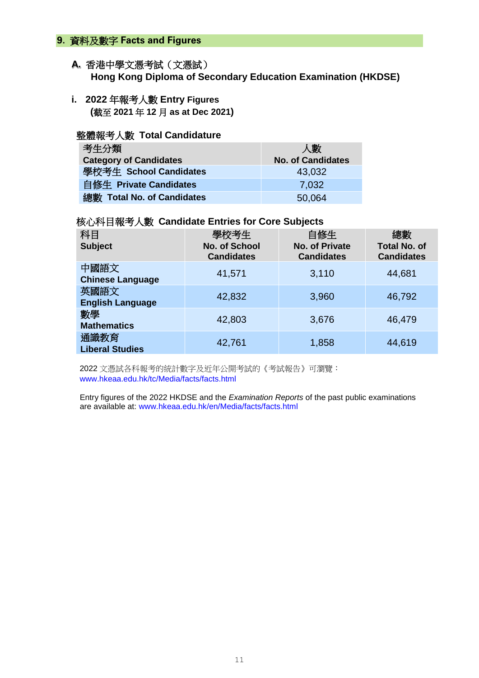#### <span id="page-11-0"></span>**9.** 資料及數字 **Facts and Figures**

#### **A.** 香港中學文憑考試(文憑試) **Hong Kong Diploma of Secondary Education Examination (HKDSE)**

**i. 2022** 年報考人數 **Entry Figures (**截至 **2021** 年 **12** 月 **as at Dec 2021)**

#### 整體報考人數 **Total Candidature**

| 考生分類                          | 人數                       |
|-------------------------------|--------------------------|
| <b>Category of Candidates</b> | <b>No. of Candidates</b> |
| 學校考生 School Candidates        | 43,032                   |
| 自修生 Private Candidates        | 7.032                    |
| 總數 Total No. of Candidates    | 50,064                   |

#### 核心科目報考人數 **Candidate Entries for Core Subjects**

| 科目<br><b>Subject</b>            | 學校考生<br><b>No. of School</b><br><b>Candidates</b> | 自修生<br><b>No. of Private</b><br><b>Candidates</b> | 總數<br><b>Total No. of</b><br><b>Candidates</b> |
|---------------------------------|---------------------------------------------------|---------------------------------------------------|------------------------------------------------|
| 中國語文<br><b>Chinese Language</b> | 41,571                                            | 3,110                                             | 44,681                                         |
| 英國語文<br><b>English Language</b> | 42,832                                            | 3,960                                             | 46,792                                         |
| 數學<br><b>Mathematics</b>        | 42,803                                            | 3,676                                             | 46,479                                         |
| 通識教育<br><b>Liberal Studies</b>  | 42,761                                            | 1,858                                             | 44,619                                         |

2022 文憑試各科報考的統計數字及近年公開考試的《考試報告》可瀏覽: [www.hkeaa.edu.hk/tc/Media/facts/facts.html](http://www.hkeaa.edu.hk/tc/Media/facts/facts.html) 

Entry figures of the 2022 HKDSE and the *Examination Reports* of the past public examinations are available at: [www.hkeaa.edu.hk/en/Media/facts/facts.html](http://www.hkeaa.edu.hk/en/Media/facts/facts.html)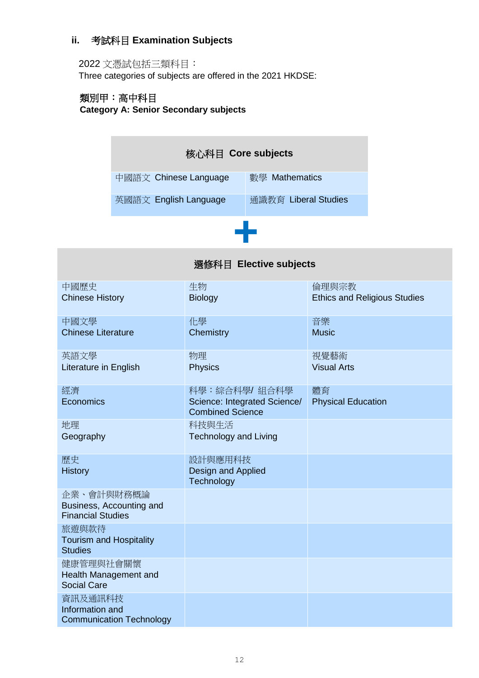# **ii.** 考試科目 **Examination Subjects**

# 2022 文憑試包括三類科目:

Three categories of subjects are offered in the 2021 HKDSE:

# 類別甲︰高中科目 **Category A: Senior Secondary subjects**

| 核心科目 Core subjects    |                      |  |  |  |  |  |  |  |  |  |  |  |
|-----------------------|----------------------|--|--|--|--|--|--|--|--|--|--|--|
| 中國語文 Chinese Language | 數學 Mathematics       |  |  |  |  |  |  |  |  |  |  |  |
| 英國語文 English Language | 通識教育 Liberal Studies |  |  |  |  |  |  |  |  |  |  |  |
|                       |                      |  |  |  |  |  |  |  |  |  |  |  |

| 選修科目 Elective subjects                               |                                                         |                                     |  |  |  |  |  |  |
|------------------------------------------------------|---------------------------------------------------------|-------------------------------------|--|--|--|--|--|--|
| 中國歷史                                                 | 生物                                                      | 倫理與宗教                               |  |  |  |  |  |  |
| <b>Chinese History</b>                               | <b>Biology</b>                                          | <b>Ethics and Religious Studies</b> |  |  |  |  |  |  |
| 中國文學                                                 | 化學                                                      | 音樂                                  |  |  |  |  |  |  |
| <b>Chinese Literature</b>                            | Chemistry                                               | <b>Music</b>                        |  |  |  |  |  |  |
| 英語文學                                                 | 物理                                                      | 視覺藝術                                |  |  |  |  |  |  |
| Literature in English                                | <b>Physics</b>                                          | <b>Visual Arts</b>                  |  |  |  |  |  |  |
| 經濟                                                   | 科學:綜合科學/ 組合科學                                           | 體育                                  |  |  |  |  |  |  |
| Economics                                            | Science: Integrated Science/<br><b>Combined Science</b> | <b>Physical Education</b>           |  |  |  |  |  |  |
| 地理                                                   | 科技與生活                                                   |                                     |  |  |  |  |  |  |
| Geography                                            | <b>Technology and Living</b>                            |                                     |  |  |  |  |  |  |
| 歷史                                                   | 設計與應用科技                                                 |                                     |  |  |  |  |  |  |
| <b>History</b>                                       | Design and Applied<br>Technology                        |                                     |  |  |  |  |  |  |
| 企業、會計與財務概論                                           |                                                         |                                     |  |  |  |  |  |  |
| Business, Accounting and<br><b>Financial Studies</b> |                                                         |                                     |  |  |  |  |  |  |
| 旅遊與款待                                                |                                                         |                                     |  |  |  |  |  |  |
| <b>Tourism and Hospitality</b><br><b>Studies</b>     |                                                         |                                     |  |  |  |  |  |  |
| 健康管理與社會關懷                                            |                                                         |                                     |  |  |  |  |  |  |
| Health Management and<br><b>Social Care</b>          |                                                         |                                     |  |  |  |  |  |  |
| 資訊及通訊科技                                              |                                                         |                                     |  |  |  |  |  |  |
| Information and                                      |                                                         |                                     |  |  |  |  |  |  |
| <b>Communication Technology</b>                      |                                                         |                                     |  |  |  |  |  |  |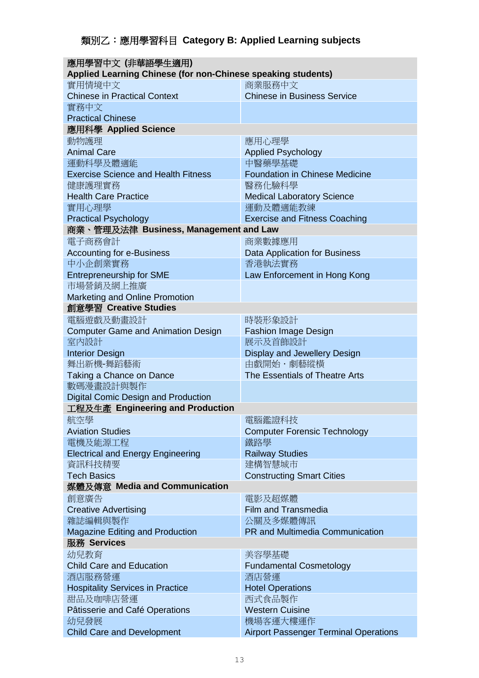| 應用學習中文 (非華語學生適用)                                             |                                              |  |  |  |  |  |
|--------------------------------------------------------------|----------------------------------------------|--|--|--|--|--|
| Applied Learning Chinese (for non-Chinese speaking students) |                                              |  |  |  |  |  |
| 實用情境中文                                                       | 商業服務中文                                       |  |  |  |  |  |
| <b>Chinese in Practical Context</b>                          | <b>Chinese in Business Service</b>           |  |  |  |  |  |
| 實務中文                                                         |                                              |  |  |  |  |  |
| <b>Practical Chinese</b>                                     |                                              |  |  |  |  |  |
| 應用科學 Applied Science                                         |                                              |  |  |  |  |  |
| 動物護理                                                         | 應用心理學                                        |  |  |  |  |  |
| <b>Animal Care</b>                                           | <b>Applied Psychology</b>                    |  |  |  |  |  |
| 運動科學及體適能                                                     | 中醫藥學基礎                                       |  |  |  |  |  |
| <b>Exercise Science and Health Fitness</b>                   | <b>Foundation in Chinese Medicine</b>        |  |  |  |  |  |
| 健康護理實務                                                       | 醫務化驗科學                                       |  |  |  |  |  |
| <b>Health Care Practice</b>                                  | <b>Medical Laboratory Science</b>            |  |  |  |  |  |
| 實用心理學                                                        | 運動及體適能教練                                     |  |  |  |  |  |
| <b>Practical Psychology</b>                                  | <b>Exercise and Fitness Coaching</b>         |  |  |  |  |  |
| 商業、管理及法律 Business, Management and Law                        |                                              |  |  |  |  |  |
| 電子商務會計                                                       | 商業數據應用                                       |  |  |  |  |  |
| <b>Accounting for e-Business</b>                             | <b>Data Application for Business</b>         |  |  |  |  |  |
| 中小企創業實務                                                      | 香港執法實務                                       |  |  |  |  |  |
| <b>Entrepreneurship for SME</b>                              | Law Enforcement in Hong Kong                 |  |  |  |  |  |
| 市場營銷及網上推廣                                                    |                                              |  |  |  |  |  |
| Marketing and Online Promotion                               |                                              |  |  |  |  |  |
| 創意學習 Creative Studies                                        |                                              |  |  |  |  |  |
| 電腦遊戲及動畫設計                                                    | 時裝形象設計                                       |  |  |  |  |  |
|                                                              |                                              |  |  |  |  |  |
| <b>Computer Game and Animation Design</b><br>室内設計            | <b>Fashion Image Design</b><br>展示及首飾設計       |  |  |  |  |  |
|                                                              |                                              |  |  |  |  |  |
| <b>Interior Design</b>                                       | Display and Jewellery Design                 |  |  |  |  |  |
| 舞出新機-舞蹈藝術                                                    | 由戲開始・劇藝縱橫                                    |  |  |  |  |  |
| Taking a Chance on Dance                                     | The Essentials of Theatre Arts               |  |  |  |  |  |
| 數碼漫畫設計與製作                                                    |                                              |  |  |  |  |  |
| <b>Digital Comic Design and Production</b>                   |                                              |  |  |  |  |  |
| 工程及生產 Engineering and Production                             |                                              |  |  |  |  |  |
| 航空學                                                          | 電腦鑑證科技                                       |  |  |  |  |  |
| <b>Aviation Studies</b>                                      | <b>Computer Forensic Technology</b>          |  |  |  |  |  |
| 電機及能源工程                                                      | 鐵路學                                          |  |  |  |  |  |
| <b>Electrical and Energy Engineering</b>                     | <b>Railway Studies</b>                       |  |  |  |  |  |
| 資訊科技精要                                                       | 建構智慧城市                                       |  |  |  |  |  |
| <b>Tech Basics</b>                                           | <b>Constructing Smart Cities</b>             |  |  |  |  |  |
| 媒體及傳意 Media and Communication                                |                                              |  |  |  |  |  |
| 創意廣告                                                         | 電影及超媒體                                       |  |  |  |  |  |
| <b>Creative Advertising</b>                                  | <b>Film and Transmedia</b>                   |  |  |  |  |  |
| 雜誌編輯與製作                                                      | 公關及多媒體傳訊                                     |  |  |  |  |  |
| <b>Magazine Editing and Production</b>                       | <b>PR and Multimedia Communication</b>       |  |  |  |  |  |
| 服務 Services                                                  |                                              |  |  |  |  |  |
| 幼兒教育                                                         | 美容學基礎                                        |  |  |  |  |  |
| <b>Child Care and Education</b>                              | <b>Fundamental Cosmetology</b>               |  |  |  |  |  |
| 酒店服務營運                                                       | 酒店營運                                         |  |  |  |  |  |
| <b>Hospitality Services in Practice</b>                      | <b>Hotel Operations</b>                      |  |  |  |  |  |
| 甜品及咖啡店營運                                                     | 西式食品製作                                       |  |  |  |  |  |
| Pâtisserie and Café Operations                               | <b>Western Cuisine</b>                       |  |  |  |  |  |
| 幼兒發展                                                         | 機場客運大樓運作                                     |  |  |  |  |  |
| <b>Child Care and Development</b>                            | <b>Airport Passenger Terminal Operations</b> |  |  |  |  |  |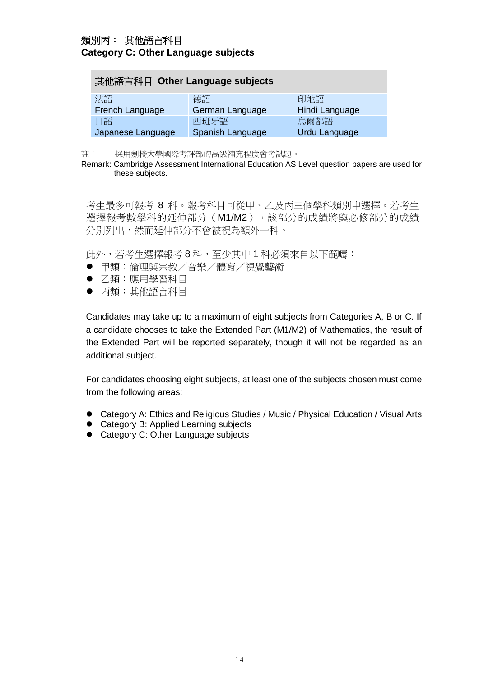# 類別丙︰ 其他語言科目 **Category C: Other Language subjects**

| 其他語言科目 Other Language subjects                         |                 |                |  |  |  |  |  |  |
|--------------------------------------------------------|-----------------|----------------|--|--|--|--|--|--|
| 法語                                                     | 德語              | 印地語            |  |  |  |  |  |  |
| French Language                                        | German Language | Hindi Language |  |  |  |  |  |  |
| 日語                                                     | 西班牙語            | 烏爾都語           |  |  |  |  |  |  |
| Spanish Language<br>Japanese Language<br>Urdu Language |                 |                |  |  |  |  |  |  |

註: 採用劍橋大學國際考評部的高級補充程度會考試題。

Remark: Cambridge Assessment International Education AS Level question papers are used for these subjects.

考生最多可報考 8 科。報考科目可從甲、乙及丙三個學科類別中選擇。若考生 選擇報考數學科的延伸部分(M1/M2), 該部分的成績將與必修部分的成績 分別列出,然而延伸部分不會被視為額外一科。

此外,若考生選擇報考8科,至少其中1科必須來自以下範疇:

- 甲類:倫理與宗教/音樂/體育/視覺藝術
- 乙類:應用學習科目
- 丙類:其他語言科目

Candidates may take up to a maximum of eight subjects from Categories A, B or C. If a candidate chooses to take the Extended Part (M1/M2) of Mathematics, the result of the Extended Part will be reported separately, though it will not be regarded as an additional subject.

For candidates choosing eight subjects, at least one of the subjects chosen must come from the following areas:

- Category A: Ethics and Religious Studies / Music / Physical Education / Visual Arts
- Category B: Applied Learning subjects
- Category C: Other Language subjects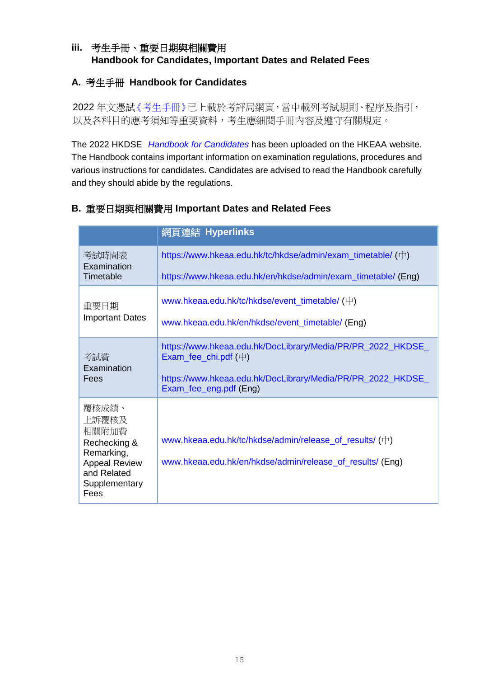# **iii.** 考生手冊、重要日期與相關費用 **Handbook for Candidates, Important Dates and Related Fees**

# **A.** 考生手冊 **Handbook for Candidates**

2022年文憑[試《考生手冊》已](http://www.hkeaa.edu.hk/tc/hkdse/admin/student_s_handbook/)上載於考評局網頁,當中載列考試規則、程序及指引, 以及各科目的應考須知等重要資料,考生應細閱手冊內容及遵守有關規定。

The 2022 HKDSE *[Handbook for Candidates](http://www.hkeaa.edu.hk/en/hkdse/admin/student_s_handbook/)* has been uploaded on the HKEAA website. The Handbook contains important information on examination regulations, procedures and various instructions for candidates. Candidates are advised to read the Handbook carefully and they should abide by the regulations.

|                                                                                                                       | 網頁連結 Hyperlinks                                                                                                      |  |  |  |  |  |
|-----------------------------------------------------------------------------------------------------------------------|----------------------------------------------------------------------------------------------------------------------|--|--|--|--|--|
| 考試時間表<br>Examination                                                                                                  | https://www.hkeaa.edu.hk/tc/hkdse/admin/exam_timetable/ (中)                                                          |  |  |  |  |  |
| Timetable                                                                                                             | https://www.hkeaa.edu.hk/en/hkdse/admin/exam_timetable/ (Eng)                                                        |  |  |  |  |  |
| 重要日期                                                                                                                  | www.hkeaa.edu.hk/tc/hkdse/event_timetable/ (中)                                                                       |  |  |  |  |  |
| <b>Important Dates</b>                                                                                                | www.hkeaa.edu.hk/en/hkdse/event_timetable/ (Eng)                                                                     |  |  |  |  |  |
| 考試費<br>Examination                                                                                                    | https://www.hkeaa.edu.hk/DocLibrary/Media/PR/PR_2022_HKDSE_<br>Exam_fee_chi.pdf $(\dagger)$                          |  |  |  |  |  |
| Fees                                                                                                                  | https://www.hkeaa.edu.hk/DocLibrary/Media/PR/PR_2022_HKDSE_<br>Exam_fee_eng.pdf (Eng)                                |  |  |  |  |  |
| 覆核成績、<br>上訴覆核及<br>相關附加費<br>Rechecking &<br>Remarking,<br><b>Appeal Review</b><br>and Related<br>Supplementary<br>Fees | www.hkeaa.edu.hk/tc/hkdse/admin/release_of_results/ (中)<br>www.hkeaa.edu.hk/en/hkdse/admin/release_of_results/ (Eng) |  |  |  |  |  |

# **B.** 重要日期與相關費用 **Important Dates and Related Fees**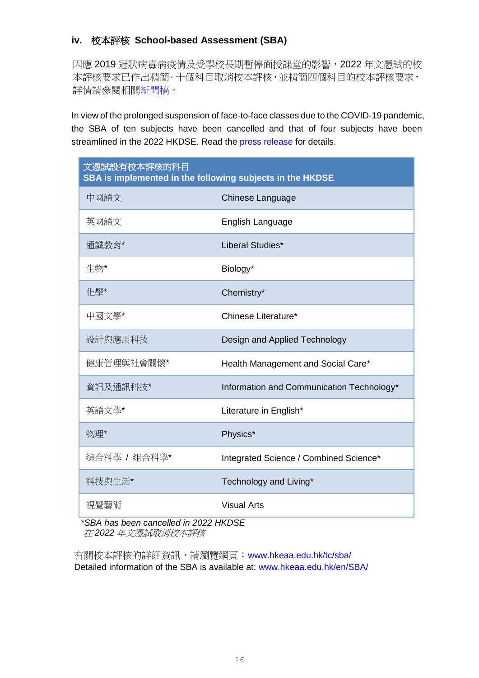# **iv.** 校本評核 **School-based Assessment (SBA)**

因應 2019 冠狀病毒病疫情及受學校長期暫停面授課堂的影響,2022 年文憑試的校 本評核要求已作出精簡。十個科目取消校本評核,並精簡四個科目的校本評核要求, 詳情請參閱相[關新聞稿。](https://www.hkeaa.edu.hk/DocLibrary/Media/PR/PR_2022DSE_SBA_Streamlining_chi.pdf)

In view of the prolonged suspension of face-to-face classes due to the COVID-19 pandemic, the SBA of ten subjects have been cancelled and that of four subjects have been streamlined in the 2022 HKDSE. Read the [press release](https://www.hkeaa.edu.hk/DocLibrary/Media/PR/PR_2022DSE_SBA_Streamlining_eng.pdf) for details.

| 文憑試設有校本評核的科目<br>SBA is implemented in the following subjects in the HKDSE |                                           |  |  |  |  |  |  |
|---------------------------------------------------------------------------|-------------------------------------------|--|--|--|--|--|--|
| 中國語文                                                                      | Chinese Language                          |  |  |  |  |  |  |
| 英國語文                                                                      | English Language                          |  |  |  |  |  |  |
| 通識教育*                                                                     | Liberal Studies*                          |  |  |  |  |  |  |
| 生物*                                                                       | Biology*                                  |  |  |  |  |  |  |
| 化學*                                                                       | Chemistry*                                |  |  |  |  |  |  |
| 中國文學*                                                                     | Chinese Literature*                       |  |  |  |  |  |  |
| 設計與應用科技                                                                   | Design and Applied Technology             |  |  |  |  |  |  |
| 健康管理與社會關懷*                                                                | Health Management and Social Care*        |  |  |  |  |  |  |
| 資訊及通訊科技*                                                                  | Information and Communication Technology* |  |  |  |  |  |  |
| 英語文學*                                                                     | Literature in English*                    |  |  |  |  |  |  |
| 物理*                                                                       | Physics*                                  |  |  |  |  |  |  |
| 綜合科學 / 組合科學*                                                              | Integrated Science / Combined Science*    |  |  |  |  |  |  |
| 科技與生活*                                                                    | Technology and Living*                    |  |  |  |  |  |  |
| 視覺藝術                                                                      | <b>Visual Arts</b>                        |  |  |  |  |  |  |

*\*SBA has been cancelled in 2022 HKDSE* 在 *2022* 年文憑試取消校本評核

有關校本評核的詳細資訊,請瀏覽網頁:[www.hkeaa.edu.hk/tc/sba/](https://www.hkeaa.edu.hk/tc/sba/) Detailed information of the SBA is available at: [www.hkeaa.edu.hk/en/SBA/](https://www.hkeaa.edu.hk/en/SBA/)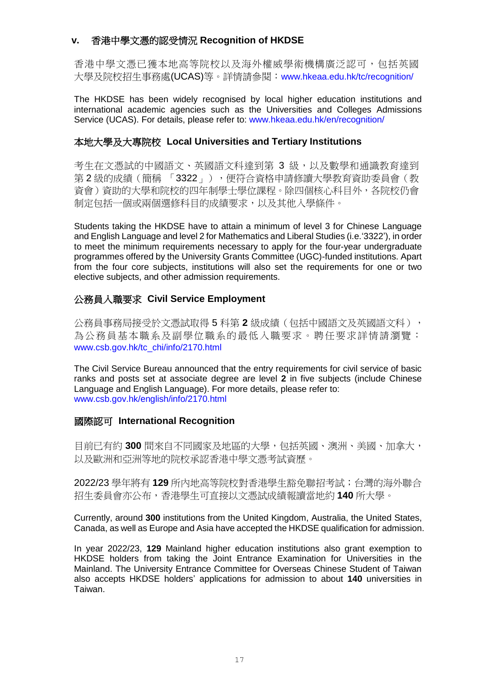## **v.** 香港中學文憑的認受情況 **Recognition of HKDSE**

香港中學文憑已獲本地高等院校以及海外權威學術機構廣泛認可,包括英國 大學及院校招生事務處(UCAS)等。詳情請參閱:[www.hkeaa.edu.hk/tc/recognition/](https://www.hkeaa.edu.hk/tc/recognition/)

The HKDSE has been widely recognised by local higher education institutions and international academic agencies such as the Universities and Colleges Admissions Service (UCAS). For details, please refer to: [www.hkeaa.edu.hk/en/recognition/](https://www.hkeaa.edu.hk/en/recognition/)

#### 本地大學及大專院校 **Local Universities and Tertiary Institutions**

考生在文憑試的中國語文、英國語文科達到第3級,以及數學和通識教育達到 第2級的成績(簡稱「3322」),便符合資格申請修讀大學教育資助委員會(教 資會)資助的大學和院校的四年制學士學位課程。除四個核心科目外,各院校仍會 制定包括一個或兩個選修科目的成績要求,以及其他入學條件。

Students taking the HKDSE have to attain a minimum of level 3 for Chinese Language and English Language and level 2 for Mathematics and Liberal Studies (i.e.'3322'), in order to meet the minimum requirements necessary to apply for the four-year undergraduate programmes offered by the University Grants Committee (UGC)-funded institutions. Apart from the four core subjects, institutions will also set the requirements for one or two elective subjects, and other admission requirements.

#### 公務員入職要求 **Civil Service Employment**

公務員事務局接受於文憑試取得 5 科第 **2** 級成績(包括中國語文及英國語文科), 為公務員基本職系及副學位職系的最低入職要求。聘任要求詳情請瀏覽: [www.csb.gov.hk/tc\\_chi/info/2170.html](http://www.csb.gov.hk/tc_chi/info/2170.html)

The Civil Service Bureau announced that the entry requirements for civil service of basic ranks and posts set at associate degree are level **2** in five subjects (include Chinese Language and English Language). For more details, please refer to: [www.csb.gov.hk/english/info/2170.html](http://www.csb.gov.hk/english/info/2170.html)

#### 國際認可 **International Recognition**

目前已有約 **300** 間來自不同國家及地區的大學,包括英國、澳洲、美國、加拿大, 以及歐洲和亞洲等地的院校承認香港中學文憑考試資歷。

2022/23 學年將有 **129** 所內地高等院校對香港學生豁免聯招考試;台灣的海外聯合 招生委員會亦公布,香港學生可直接以文憑試成績報讀當地約 **140** 所大學。

Currently, around **300** institutions from the United Kingdom, Australia, the United States, Canada, as well as Europe and Asia have accepted the HKDSE qualification for admission.

In year 2022/23, **129** Mainland higher education institutions also grant exemption to HKDSE holders from taking the Joint Entrance Examination for Universities in the Mainland. The University Entrance Committee for Overseas Chinese Student of Taiwan also accepts HKDSE holders' applications for admission to about **140** universities in Taiwan.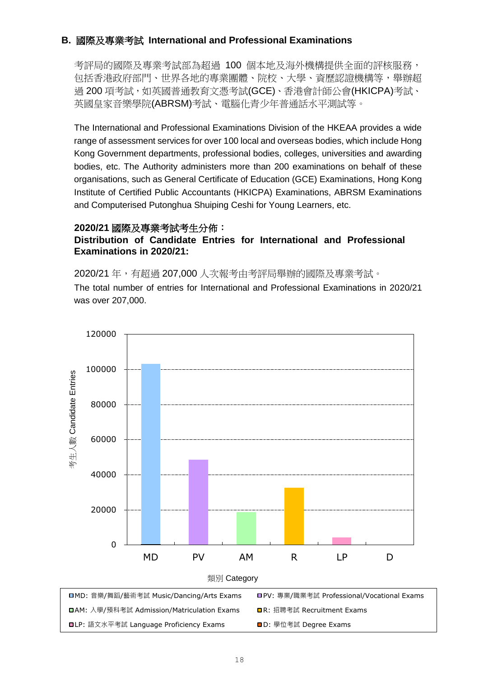# <span id="page-18-0"></span>**B.** 國際及專業考試 **International and Professional Examinations**

考評局的國際及專業考試部為超過 100 個本地及海外機構提供全面的評核服務, 包括香港政府部門、世界各地的專業團體、院校、大學、資歷認證機構等,舉辦超 過 200 項考試, 如英國普通教育文憑考試(GCE)、香港會計師公會(HKICPA)考試、 英國皇家音樂學院(ABRSM)考試、電腦化青少年普通話水平測試等。

The International and Professional Examinations Division of the HKEAA provides a wide range of assessment services for over 100 local and overseas bodies, which include Hong Kong Government departments, professional bodies, colleges, universities and awarding bodies, etc. The Authority administers more than 200 examinations on behalf of these organisations, such as General Certificate of Education (GCE) Examinations, Hong Kong Institute of Certified Public Accountants (HKICPA) Examinations, ABRSM Examinations and Computerised Putonghua Shuiping Ceshi for Young Learners, etc.

#### **2020/21** 國際及專業考試考生分佈:

#### **Distribution of Candidate Entries for International and Professional Examinations in 2020/21:**

2020/21 年,有超過 207,000 人次報考由考評局舉辦的國際及專業考試。 The total number of entries for International and Professional Examinations in 2020/21 was over 207,000.

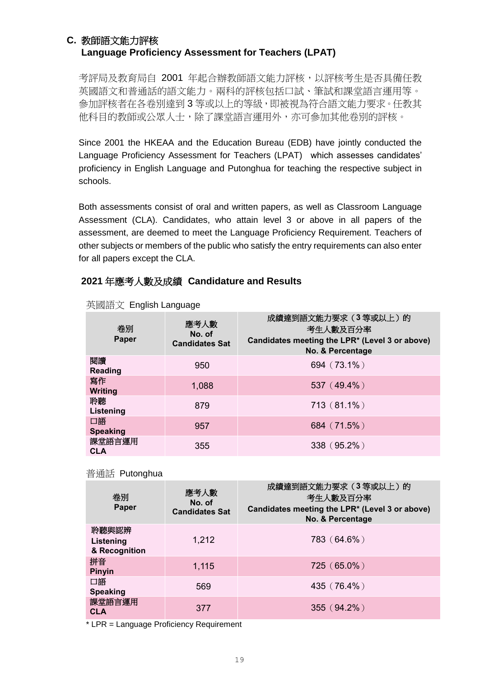# <span id="page-19-0"></span> **C.** 教師語文能力評核 **Language Proficiency Assessment for Teachers (LPAT)**

考評局及教育局自 2001 年起合辦教師語文能力評核,以評核考生是否具備任教 英國語文和普通話的語文能力。兩科的評核包括口試、筆試和課堂語言運用等。 参加評核者在各卷別達到3等或以上的等級,即被視為符合語文能力要求。任教其 他科目的教師或公眾人士,除了課堂語言運用外,亦可參加其他卷別的評核。

Since 2001 the HKEAA and the Education Bureau (EDB) have jointly conducted the Language Proficiency Assessment for Teachers (LPAT) which assesses candidates' proficiency in English Language and Putonghua for teaching the respective subject in schools.

Both assessments consist of oral and written papers, as well as Classroom Language Assessment (CLA). Candidates, who attain level 3 or above in all papers of the assessment, are deemed to meet the Language Proficiency Requirement. Teachers of other subjects or members of the public who satisfy the entry requirements can also enter for all papers except the CLA.

# **2021** 年應考人數及成績 **Candidature and Results**

| 卷別<br>Paper           | 應考人數<br>No. of<br><b>Candidates Sat</b> | 成績達到語文能力要求 (3 等或以上) 的<br>考生人數及百分率<br>Candidates meeting the LPR* (Level 3 or above)<br>No. & Percentage |
|-----------------------|-----------------------------------------|---------------------------------------------------------------------------------------------------------|
| 閱讀<br>Reading         | 950                                     | 694 (73.1%)                                                                                             |
| 寫作<br><b>Writing</b>  | 1,088                                   | 537 (49.4%)                                                                                             |
| 聆聽<br>Listening       | 879                                     | 713 (81.1%)                                                                                             |
| 口語<br><b>Speaking</b> | 957                                     | 684 (71.5%)                                                                                             |
| 課堂語言運用<br><b>CLA</b>  | 355                                     | 338 (95.2%)                                                                                             |

#### 英國語文 English Language

#### 普通話 Putonghua

| 卷別<br>Paper                         | 應考人數<br>No. of<br><b>Candidates Sat</b> | 成績達到語文能力要求(3等或以上)的<br>考生人數及百分率<br>Candidates meeting the LPR* (Level 3 or above)<br>No. & Percentage |
|-------------------------------------|-----------------------------------------|------------------------------------------------------------------------------------------------------|
| 聆聽與認辨<br>Listening<br>& Recognition | 1,212                                   | 783 (64.6%)                                                                                          |
| 拼音<br><b>Pinyin</b>                 | 1,115                                   | 725 (65.0%)                                                                                          |
| 口語<br><b>Speaking</b>               | 569                                     | 435 (76.4%)                                                                                          |
| 課堂語言運用<br><b>CLA</b>                | 377                                     | $355(94.2\%)$                                                                                        |

\* LPR = Language Proficiency Requirement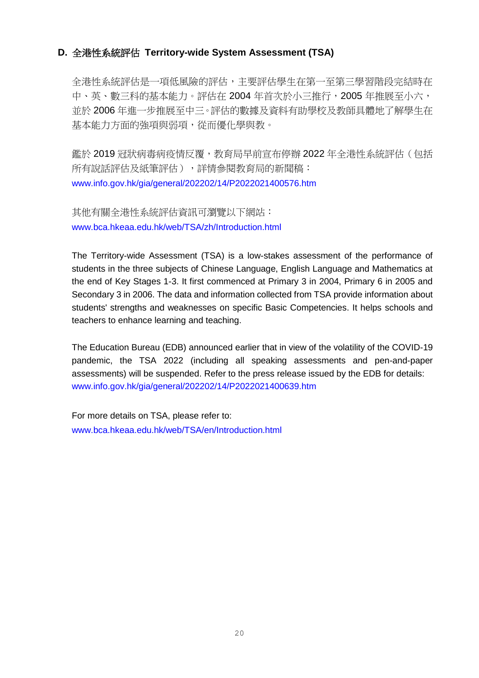## <span id="page-20-0"></span>**D.** 全港性系統評估 **Territory-wide System Assessment (TSA)**

全港性系統評估是一項低風險的評估,主要評估學生在第一至第三學習階段完結時在 中、英、數三科的基本能力。評估在 2004 年首次於小三推行, 2005 年推展至小六, 並於 2006 年進一步推展至中三。評估的數據及資料有助學校及教師具體地了解學生在 基本能力方面的強項與弱項,從而優化學與教。

鑑於 2019 冠狀病毒病疫情反覆,教育局早前宣布停辦 2022 年全港性系統評估(包括 所有說話評估及紙筆評估),詳情參閱教育局的新聞稿: [www.info.gov.hk/gia/general/202202/14/P2022021400576.htm](https://www.info.gov.hk/gia/general/202202/14/P2022021400576.htm)

其他有關全港性系統評估資訊可瀏覽以下網站: [www.bca.hkeaa.edu.hk/web/TSA/zh/Introduction.html](https://www.bca.hkeaa.edu.hk/web/TSA/zh/Introduction.html)

The Territory-wide Assessment (TSA) is a low-stakes assessment of the performance of students in the three subjects of Chinese Language, English Language and Mathematics at the end of Key Stages 1-3. It first commenced at Primary 3 in 2004, Primary 6 in 2005 and Secondary 3 in 2006. The data and information collected from TSA provide information about students' strengths and weaknesses on specific Basic Competencies. It helps schools and teachers to enhance learning and teaching.

The Education Bureau (EDB) announced earlier that in view of the volatility of the COVID-19 pandemic, the TSA 2022 (including all speaking assessments and pen-and-paper assessments) will be suspended. Refer to the press release issued by the EDB for details: [www.info.gov.hk/gia/general/202202/14/P2022021400639.htm](https://www.info.gov.hk/gia/general/202202/14/P2022021400639.htm)

For more details on TSA, please refer to: [www.bca.hkeaa.edu.hk/web/TSA/en/Introduction.html](https://www.bca.hkeaa.edu.hk/web/TSA/en/Introduction.html)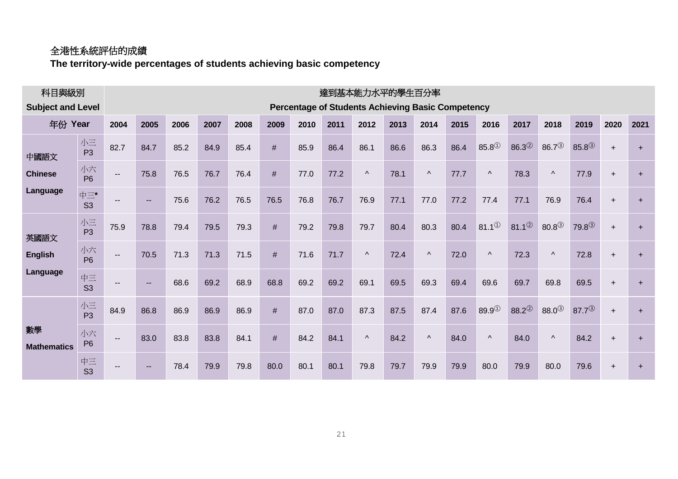# 全港性系統評估的成績

**The territory-wide percentages of students achieving basic competency**

| 科目與級別                      |                       | 達到基本能力水平的學生百分率           |                                                          |      |      |      |      |      |      |           |      |           |      |              |                    |                    |                    |           |           |
|----------------------------|-----------------------|--------------------------|----------------------------------------------------------|------|------|------|------|------|------|-----------|------|-----------|------|--------------|--------------------|--------------------|--------------------|-----------|-----------|
| <b>Subject and Level</b>   |                       |                          | <b>Percentage of Students Achieving Basic Competency</b> |      |      |      |      |      |      |           |      |           |      |              |                    |                    |                    |           |           |
| 年份 Year                    |                       | 2004                     | 2005                                                     | 2006 | 2007 | 2008 | 2009 | 2010 | 2011 | 2012      | 2013 | 2014      | 2015 | 2016         | 2017               | 2018               | 2019               | 2020      | 2021      |
| 中國語文                       | 小三<br>P <sub>3</sub>  | 82.7                     | 84.7                                                     | 85.2 | 84.9 | 85.4 | #    | 85.9 | 86.4 | 86.1      | 86.6 | 86.3      | 86.4 | $85.8^\circ$ | $86.3^{(2)}$       | $86.7^{(3)}$       | $85.8^{(3)}$       | $\ddot{}$ | $\ddot{}$ |
| <b>Chinese</b><br>Language | 小六<br>P <sub>6</sub>  | $\overline{\phantom{a}}$ | 75.8                                                     | 76.5 | 76.7 | 76.4 | $\#$ | 77.0 | 77.2 | $\Lambda$ | 78.1 | $\Lambda$ | 77.7 | $\Lambda$    | 78.3               | $\Lambda$          | 77.9               | $\ddot{}$ | $\ddot{}$ |
|                            | 中三*<br>S <sub>3</sub> |                          | $\sim$                                                   | 75.6 | 76.2 | 76.5 | 76.5 | 76.8 | 76.7 | 76.9      | 77.1 | 77.0      | 77.2 | 77.4         | 77.1               | 76.9               | 76.4               | $+$       | $\ddot{}$ |
| 英國語文                       | 小三<br>P <sub>3</sub>  | 75.9                     | 78.8                                                     | 79.4 | 79.5 | 79.3 | #    | 79.2 | 79.8 | 79.7      | 80.4 | 80.3      | 80.4 | $81.1^{(1)}$ | 81.1 <sup>②</sup>  | $80.8^{(3)}$       | 79.8 <sup>3</sup>  | $+$       | $\ddot{}$ |
| <b>English</b>             | 小六<br>P <sub>6</sub>  | $\hspace{0.05cm} \ldots$ | 70.5                                                     | 71.3 | 71.3 | 71.5 | #    | 71.6 | 71.7 | $\Lambda$ | 72.4 | $\Lambda$ | 72.0 | $\Lambda$    | 72.3               | $\lambda$          | 72.8               | $\ddot{}$ | $\ddot{}$ |
| Language                   | 中三<br>S <sub>3</sub>  | $-$                      | $\sim$                                                   | 68.6 | 69.2 | 68.9 | 68.8 | 69.2 | 69.2 | 69.1      | 69.5 | 69.3      | 69.4 | 69.6         | 69.7               | 69.8               | 69.5               | $+$       | $\ddot{}$ |
| 數學<br><b>Mathematics</b>   | 小三<br>P <sub>3</sub>  | 84.9                     | 86.8                                                     | 86.9 | 86.9 | 86.9 | #    | 87.0 | 87.0 | 87.3      | 87.5 | 87.4      | 87.6 | $89.9^\circ$ | $88.2^{\circledR}$ | $88.0^{\circledS}$ | $87.7^{\circledR}$ | $\ddot{}$ | $\ddot{}$ |
|                            | 小六<br>P <sub>6</sub>  | $\overline{\phantom{a}}$ | 83.0                                                     | 83.8 | 83.8 | 84.1 | #    | 84.2 | 84.1 | $\Lambda$ | 84.2 | $\Lambda$ | 84.0 | $\Lambda$    | 84.0               | $\Lambda$          | 84.2               | $\ddot{}$ | $\ddot{}$ |
|                            | 中三<br>S <sub>3</sub>  |                          | $\sim$                                                   | 78.4 | 79.9 | 79.8 | 80.0 | 80.1 | 80.1 | 79.8      | 79.7 | 79.9      | 79.9 | 80.0         | 79.9               | 80.0               | 79.6               | $\ddot{}$ | $\ddot{}$ |